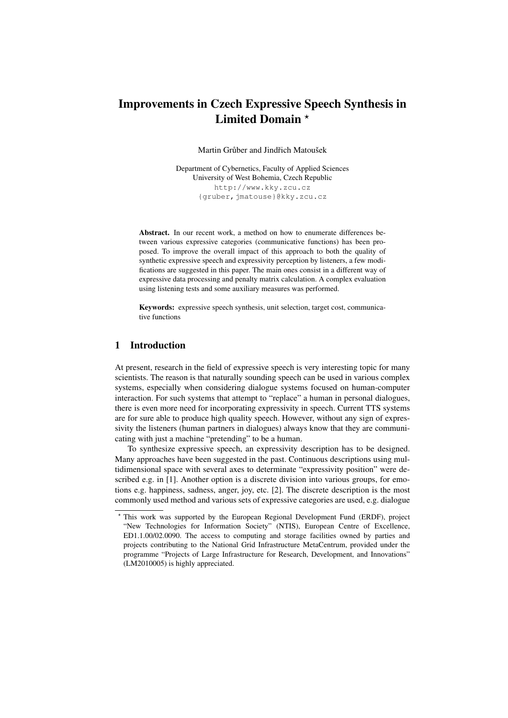# Improvements in Czech Expressive Speech Synthesis in Limited Domain \*

Martin Grůber and Jindřich Matoušek

Department of Cybernetics, Faculty of Applied Sciences University of West Bohemia, Czech Republic http://www.kky.zcu.cz {gruber,jmatouse}@kky.zcu.cz

Abstract. In our recent work, a method on how to enumerate differences between various expressive categories (communicative functions) has been proposed. To improve the overall impact of this approach to both the quality of synthetic expressive speech and expressivity perception by listeners, a few modifications are suggested in this paper. The main ones consist in a different way of expressive data processing and penalty matrix calculation. A complex evaluation using listening tests and some auxiliary measures was performed.

Keywords: expressive speech synthesis, unit selection, target cost, communicative functions

# 1 Introduction

At present, research in the field of expressive speech is very interesting topic for many scientists. The reason is that naturally sounding speech can be used in various complex systems, especially when considering dialogue systems focused on human-computer interaction. For such systems that attempt to "replace" a human in personal dialogues, there is even more need for incorporating expressivity in speech. Current TTS systems are for sure able to produce high quality speech. However, without any sign of expressivity the listeners (human partners in dialogues) always know that they are communicating with just a machine "pretending" to be a human.

To synthesize expressive speech, an expressivity description has to be designed. Many approaches have been suggested in the past. Continuous descriptions using multidimensional space with several axes to determinate "expressivity position" were described e.g. in [1]. Another option is a discrete division into various groups, for emotions e.g. happiness, sadness, anger, joy, etc. [2]. The discrete description is the most commonly used method and various sets of expressive categories are used, e.g. dialogue

<sup>?</sup> This work was supported by the European Regional Development Fund (ERDF), project "New Technologies for Information Society" (NTIS), European Centre of Excellence, ED1.1.00/02.0090. The access to computing and storage facilities owned by parties and projects contributing to the National Grid Infrastructure MetaCentrum, provided under the programme "Projects of Large Infrastructure for Research, Development, and Innovations" (LM2010005) is highly appreciated.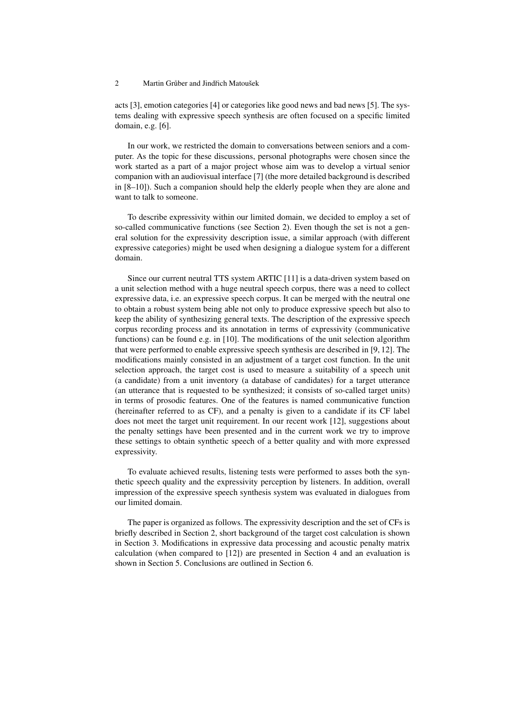acts [3], emotion categories [4] or categories like good news and bad news [5]. The systems dealing with expressive speech synthesis are often focused on a specific limited domain, e.g. [6].

In our work, we restricted the domain to conversations between seniors and a computer. As the topic for these discussions, personal photographs were chosen since the work started as a part of a major project whose aim was to develop a virtual senior companion with an audiovisual interface [7] (the more detailed background is described in [8–10]). Such a companion should help the elderly people when they are alone and want to talk to someone.

To describe expressivity within our limited domain, we decided to employ a set of so-called communicative functions (see Section 2). Even though the set is not a general solution for the expressivity description issue, a similar approach (with different expressive categories) might be used when designing a dialogue system for a different domain.

Since our current neutral TTS system ARTIC [11] is a data-driven system based on a unit selection method with a huge neutral speech corpus, there was a need to collect expressive data, i.e. an expressive speech corpus. It can be merged with the neutral one to obtain a robust system being able not only to produce expressive speech but also to keep the ability of synthesizing general texts. The description of the expressive speech corpus recording process and its annotation in terms of expressivity (communicative functions) can be found e.g. in [10]. The modifications of the unit selection algorithm that were performed to enable expressive speech synthesis are described in [9, 12]. The modifications mainly consisted in an adjustment of a target cost function. In the unit selection approach, the target cost is used to measure a suitability of a speech unit (a candidate) from a unit inventory (a database of candidates) for a target utterance (an utterance that is requested to be synthesized; it consists of so-called target units) in terms of prosodic features. One of the features is named communicative function (hereinafter referred to as CF), and a penalty is given to a candidate if its CF label does not meet the target unit requirement. In our recent work [12], suggestions about the penalty settings have been presented and in the current work we try to improve these settings to obtain synthetic speech of a better quality and with more expressed expressivity.

To evaluate achieved results, listening tests were performed to asses both the synthetic speech quality and the expressivity perception by listeners. In addition, overall impression of the expressive speech synthesis system was evaluated in dialogues from our limited domain.

The paper is organized as follows. The expressivity description and the set of CFs is briefly described in Section 2, short background of the target cost calculation is shown in Section 3. Modifications in expressive data processing and acoustic penalty matrix calculation (when compared to [12]) are presented in Section 4 and an evaluation is shown in Section 5. Conclusions are outlined in Section 6.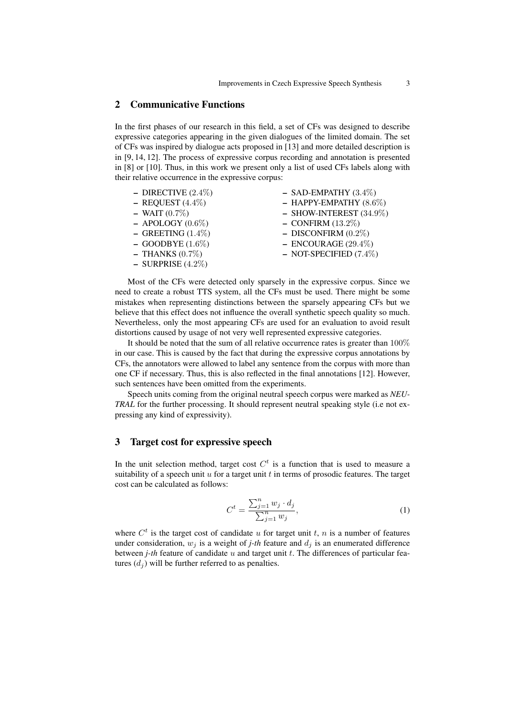## 2 Communicative Functions

In the first phases of our research in this field, a set of CFs was designed to describe expressive categories appearing in the given dialogues of the limited domain. The set of CFs was inspired by dialogue acts proposed in [13] and more detailed description is in [9, 14, 12]. The process of expressive corpus recording and annotation is presented in [8] or [10]. Thus, in this work we present only a list of used CFs labels along with their relative occurrence in the expressive corpus:

| - DIRECTIVE $(2.4\%)$  | $-$ SAD-EMPATHY $(3.4\%)$ |
|------------------------|---------------------------|
| $-$ REQUEST (4.4%)     | $-$ HAPPY-EMPATHY (8.6%)  |
| $-$ WAIT $(0.7\%)$     | $-$ SHOW-INTEREST (34.9%) |
| $-$ APOLOGY (0.6%)     | $-$ CONFIRM (13.2%)       |
| $-$ GREETING $(1.4\%)$ | $-$ DISCONFIRM (0.2%)     |
| $-$ GOODBYE $(1.6\%)$  | $-$ ENCOURAGE (29.4%)     |
| $-$ THANKS (0.7%)      | $-$ NOT-SPECIFIED (7.4%)  |
| $-$ SURPRISE (4.2%)    |                           |

Most of the CFs were detected only sparsely in the expressive corpus. Since we need to create a robust TTS system, all the CFs must be used. There might be some mistakes when representing distinctions between the sparsely appearing CFs but we believe that this effect does not influence the overall synthetic speech quality so much. Nevertheless, only the most appearing CFs are used for an evaluation to avoid result distortions caused by usage of not very well represented expressive categories.

It should be noted that the sum of all relative occurrence rates is greater than 100% in our case. This is caused by the fact that during the expressive corpus annotations by CFs, the annotators were allowed to label any sentence from the corpus with more than one CF if necessary. Thus, this is also reflected in the final annotations [12]. However, such sentences have been omitted from the experiments.

Speech units coming from the original neutral speech corpus were marked as *NEU-TRAL* for the further processing. It should represent neutral speaking style (i.e not expressing any kind of expressivity).

# 3 Target cost for expressive speech

In the unit selection method, target cost  $C<sup>t</sup>$  is a function that is used to measure a suitability of a speech unit  $u$  for a target unit  $t$  in terms of prosodic features. The target cost can be calculated as follows:

$$
C^{t} = \frac{\sum_{j=1}^{n} w_{j} \cdot d_{j}}{\sum_{j=1}^{n} w_{j}},
$$
\n(1)

where  $C<sup>t</sup>$  is the target cost of candidate u for target unit t, n is a number of features under consideration,  $w_j$  is a weight of *j-th* feature and  $d_j$  is an enumerated difference between  $j$ -th feature of candidate  $u$  and target unit  $t$ . The differences of particular features  $(d<sub>j</sub>)$  will be further referred to as penalties.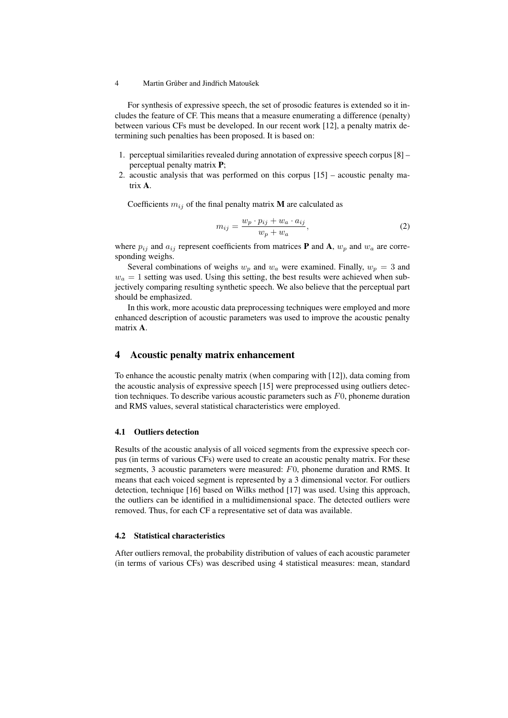For synthesis of expressive speech, the set of prosodic features is extended so it includes the feature of CF. This means that a measure enumerating a difference (penalty) between various CFs must be developed. In our recent work [12], a penalty matrix determining such penalties has been proposed. It is based on:

- 1. perceptual similarities revealed during annotation of expressive speech corpus [8] perceptual penalty matrix P;
- 2. acoustic analysis that was performed on this corpus [15] acoustic penalty matrix A.

Coefficients  $m_{ij}$  of the final penalty matrix **M** are calculated as

$$
m_{ij} = \frac{w_p \cdot p_{ij} + w_a \cdot a_{ij}}{w_p + w_a},\tag{2}
$$

where  $p_{ij}$  and  $a_{ij}$  represent coefficients from matrices **P** and **A**,  $w_p$  and  $w_a$  are corresponding weighs.

Several combinations of weighs  $w_p$  and  $w_a$  were examined. Finally,  $w_p = 3$  and  $w_a = 1$  setting was used. Using this setting, the best results were achieved when subjectively comparing resulting synthetic speech. We also believe that the perceptual part should be emphasized.

In this work, more acoustic data preprocessing techniques were employed and more enhanced description of acoustic parameters was used to improve the acoustic penalty matrix A.

## 4 Acoustic penalty matrix enhancement

To enhance the acoustic penalty matrix (when comparing with [12]), data coming from the acoustic analysis of expressive speech [15] were preprocessed using outliers detection techniques. To describe various acoustic parameters such as  $F<sub>0</sub>$ , phoneme duration and RMS values, several statistical characteristics were employed.

#### 4.1 Outliers detection

Results of the acoustic analysis of all voiced segments from the expressive speech corpus (in terms of various CFs) were used to create an acoustic penalty matrix. For these segments, 3 acoustic parameters were measured: F0, phoneme duration and RMS. It means that each voiced segment is represented by a 3 dimensional vector. For outliers detection, technique [16] based on Wilks method [17] was used. Using this approach, the outliers can be identified in a multidimensional space. The detected outliers were removed. Thus, for each CF a representative set of data was available.

## 4.2 Statistical characteristics

After outliers removal, the probability distribution of values of each acoustic parameter (in terms of various CFs) was described using 4 statistical measures: mean, standard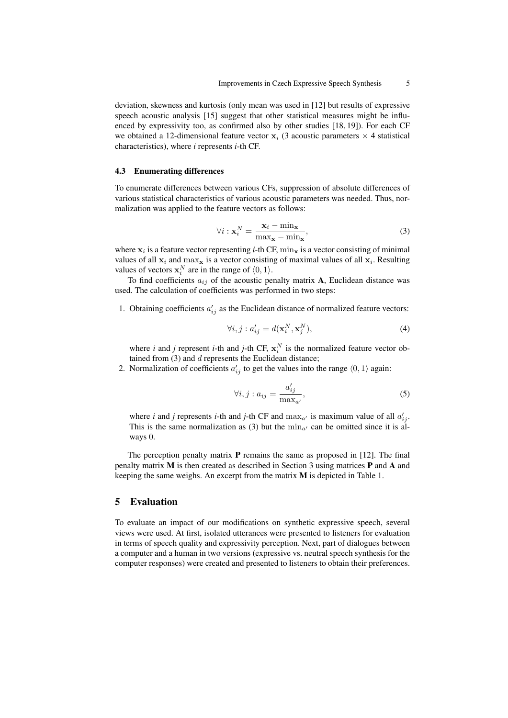deviation, skewness and kurtosis (only mean was used in [12] but results of expressive speech acoustic analysis [15] suggest that other statistical measures might be influenced by expressivity too, as confirmed also by other studies [18, 19]). For each CF we obtained a 12-dimensional feature vector  $x_i$  (3 acoustic parameters  $\times$  4 statistical characteristics), where *i* represents *i*-th CF.

#### 4.3 Enumerating differences

To enumerate differences between various CFs, suppression of absolute differences of various statistical characteristics of various acoustic parameters was needed. Thus, normalization was applied to the feature vectors as follows:

$$
\forall i : \mathbf{x}_i^N = \frac{\mathbf{x}_i - \min_{\mathbf{x}}}{\max_{\mathbf{x}} - \min_{\mathbf{x}}},
$$
\n(3)

where  $x_i$  is a feature vector representing *i*-th CF,  $\min_{\mathbf{x}}$  is a vector consisting of minimal values of all  $x_i$  and  $\max_x$  is a vector consisting of maximal values of all  $x_i$ . Resulting values of vectors  $\mathbf{x}_i^N$  are in the range of  $\langle 0, 1 \rangle$ .

To find coefficients  $a_{ij}$  of the acoustic penalty matrix A, Euclidean distance was used. The calculation of coefficients was performed in two steps:

1. Obtaining coefficients  $a'_{ij}$  as the Euclidean distance of normalized feature vectors:

$$
\forall i, j : a'_{ij} = d(\mathbf{x}_i^N, \mathbf{x}_j^N), \tag{4}
$$

where *i* and *j* represent *i*-th and *j*-th CF,  $x_i^N$  is the normalized feature vector obtained from  $(3)$  and  $d$  represents the Euclidean distance;

2. Normalization of coefficients  $a'_{ij}$  to get the values into the range  $\langle 0, 1 \rangle$  again:

$$
\forall i, j : a_{ij} = \frac{a'_{ij}}{\max_{a'}},\tag{5}
$$

where *i* and *j* represents *i*-th and *j*-th CF and  $\max_{a'}$  is maximum value of all  $a'_{ij}$ . This is the same normalization as (3) but the  $\min_{a'}$  can be omitted since it is always 0.

The perception penalty matrix  $P$  remains the same as proposed in [12]. The final penalty matrix M is then created as described in Section 3 using matrices P and A and keeping the same weighs. An excerpt from the matrix M is depicted in Table 1.

## 5 Evaluation

To evaluate an impact of our modifications on synthetic expressive speech, several views were used. At first, isolated utterances were presented to listeners for evaluation in terms of speech quality and expressivity perception. Next, part of dialogues between a computer and a human in two versions (expressive vs. neutral speech synthesis for the computer responses) were created and presented to listeners to obtain their preferences.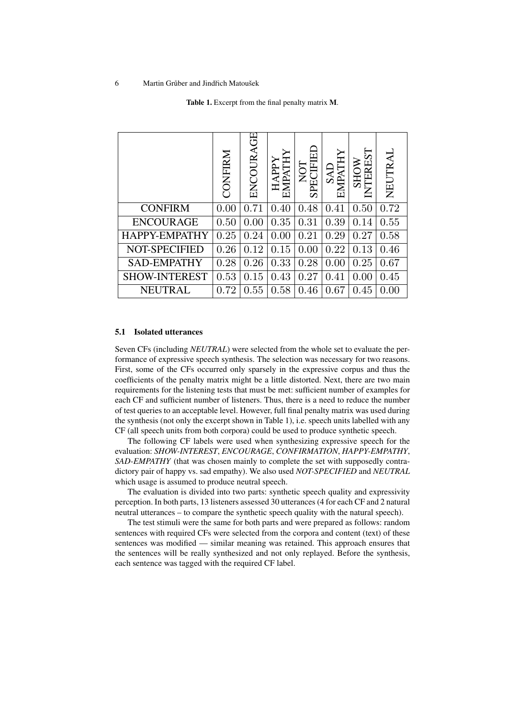Table 1. Excerpt from the final penalty matrix M.

|                      | CONFIRM | ENCOURAGE | EMPATHY<br><b>HAPPY</b> | $\mathbb H$<br>NOT<br><b>SPEC</b> | SAD<br>EMPAT | 75<br><b>NOHS</b><br>INTERE | NEUTRAL |
|----------------------|---------|-----------|-------------------------|-----------------------------------|--------------|-----------------------------|---------|
| <b>CONFIRM</b>       | 0.00    | 0.71      | 0.40                    | 0.48                              | 0.41         | 0.50                        | 0.72    |
| <b>ENCOURAGE</b>     | 0.50    | 0.00      | 0.35                    | 0.31                              | 0.39         | 0.14                        | 0.55    |
| HAPPY-EMPATHY        | 0.25    | 0.24      | 0.00                    | 0.21                              | 0.29         | 0.27                        | 0.58    |
| <b>NOT-SPECIFIED</b> | 0.26    | 0.12      | 0.15                    | 0.00                              | 0.22         | 0.13                        | 0.46    |
| <b>SAD-EMPATHY</b>   | 0.28    | 0.26      | 0.33                    | 0.28                              | 0.00         | 0.25                        | 0.67    |
| <b>SHOW-INTEREST</b> | 0.53    | 0.15      | 0.43                    | 0.27                              | 0.41         | 0.00                        | 0.45    |
| <b>NEUTRAL</b>       | 0.72    | 0.55      | 0.58                    | 0.46                              | 0.67         | 0.45                        | 0.00    |

#### 5.1 Isolated utterances

Seven CFs (including *NEUTRAL*) were selected from the whole set to evaluate the performance of expressive speech synthesis. The selection was necessary for two reasons. First, some of the CFs occurred only sparsely in the expressive corpus and thus the coefficients of the penalty matrix might be a little distorted. Next, there are two main requirements for the listening tests that must be met: sufficient number of examples for each CF and sufficient number of listeners. Thus, there is a need to reduce the number of test queries to an acceptable level. However, full final penalty matrix was used during the synthesis (not only the excerpt shown in Table 1), i.e. speech units labelled with any CF (all speech units from both corpora) could be used to produce synthetic speech.

The following CF labels were used when synthesizing expressive speech for the evaluation: *SHOW-INTEREST*, *ENCOURAGE*, *CONFIRMATION*, *HAPPY-EMPATHY*, *SAD-EMPATHY* (that was chosen mainly to complete the set with supposedly contradictory pair of happy vs. sad empathy). We also used *NOT-SPECIFIED* and *NEUTRAL* which usage is assumed to produce neutral speech.

The evaluation is divided into two parts: synthetic speech quality and expressivity perception. In both parts, 13 listeners assessed 30 utterances (4 for each CF and 2 natural neutral utterances – to compare the synthetic speech quality with the natural speech).

The test stimuli were the same for both parts and were prepared as follows: random sentences with required CFs were selected from the corpora and content (text) of these sentences was modified — similar meaning was retained. This approach ensures that the sentences will be really synthesized and not only replayed. Before the synthesis, each sentence was tagged with the required CF label.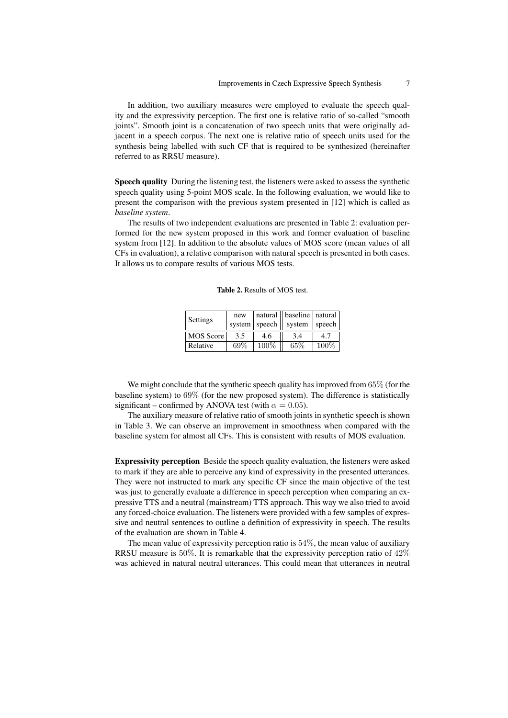In addition, two auxiliary measures were employed to evaluate the speech quality and the expressivity perception. The first one is relative ratio of so-called "smooth joints". Smooth joint is a concatenation of two speech units that were originally adjacent in a speech corpus. The next one is relative ratio of speech units used for the synthesis being labelled with such CF that is required to be synthesized (hereinafter referred to as RRSU measure).

Speech quality During the listening test, the listeners were asked to assess the synthetic speech quality using 5-point MOS scale. In the following evaluation, we would like to present the comparison with the previous system presented in [12] which is called as *baseline system*.

The results of two independent evaluations are presented in Table 2: evaluation performed for the new system proposed in this work and former evaluation of baseline system from [12]. In addition to the absolute values of MOS score (mean values of all CFs in evaluation), a relative comparison with natural speech is presented in both cases. It allows us to compare results of various MOS tests.

| <b>Table 2.</b> Results of MOS test. |  |
|--------------------------------------|--|
|--------------------------------------|--|

| Settings  | new |                 | natural    baseline   natural |       |
|-----------|-----|-----------------|-------------------------------|-------|
|           |     | system   speech | system   speech               |       |
| MOS Score | 3.5 | 4.6             | 3.4                           |       |
| Relative  | 69% | 100%            | 65\%                          | 100\% |

We might conclude that the synthetic speech quality has improved from 65% (for the baseline system) to 69% (for the new proposed system). The difference is statistically significant – confirmed by ANOVA test (with  $\alpha = 0.05$ ).

The auxiliary measure of relative ratio of smooth joints in synthetic speech is shown in Table 3. We can observe an improvement in smoothness when compared with the baseline system for almost all CFs. This is consistent with results of MOS evaluation.

Expressivity perception Beside the speech quality evaluation, the listeners were asked to mark if they are able to perceive any kind of expressivity in the presented utterances. They were not instructed to mark any specific CF since the main objective of the test was just to generally evaluate a difference in speech perception when comparing an expressive TTS and a neutral (mainstream) TTS approach. This way we also tried to avoid any forced-choice evaluation. The listeners were provided with a few samples of expressive and neutral sentences to outline a definition of expressivity in speech. The results of the evaluation are shown in Table 4.

The mean value of expressivity perception ratio is 54%, the mean value of auxiliary RRSU measure is 50%. It is remarkable that the expressivity perception ratio of 42% was achieved in natural neutral utterances. This could mean that utterances in neutral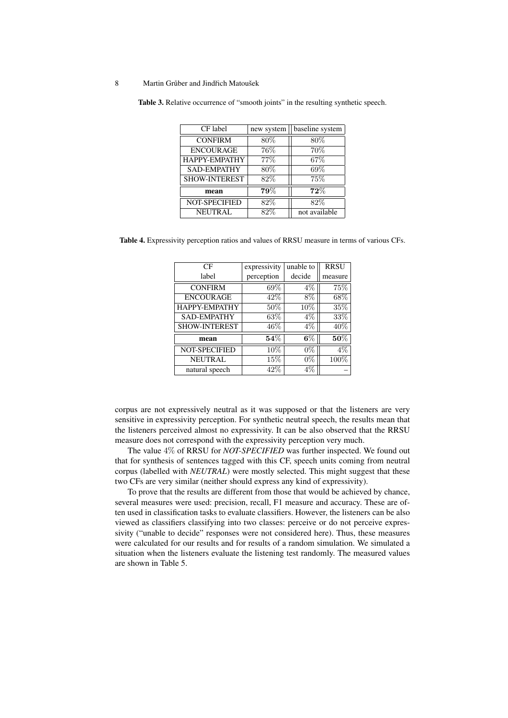Table 3. Relative occurrence of "smooth joints" in the resulting synthetic speech.

| CF label             | new system | baseline system |
|----------------------|------------|-----------------|
| <b>CONFIRM</b>       | 80%        | 80%             |
| <b>ENCOURAGE</b>     | 76%        | 70%             |
| HAPPY-EMPATHY        | 77%        | 67\%            |
| <b>SAD-EMPATHY</b>   | 80%        | 69%             |
| SHOW-INTEREST        | 82\%       | 75%             |
| mean                 | 79%        | 72%             |
| <b>NOT-SPECIFIED</b> | 82%        | 82%             |
| <b>NEUTRAL</b>       | 82%        | not available   |

Table 4. Expressivity perception ratios and values of RRSU measure in terms of various CFs.

| CF                   | expressivity | unable to | <b>RRSU</b> |
|----------------------|--------------|-----------|-------------|
| label                | perception   | decide    | measure     |
| <b>CONFIRM</b>       | 69%          | $4\%$     | 75%         |
| <b>ENCOURAGE</b>     | 42\%         | 8%        | 68\%        |
| HAPPY-EMPATHY        | 50%          | 10%       | 35\%        |
| <b>SAD-EMPATHY</b>   | 63%          | $4\%$     | 33%         |
| <b>SHOW-INTEREST</b> | 46\%         | $4\%$     | 40\%        |
| mean                 | $54\%$       | $6\%$     | $50\%$      |
| NOT-SPECIFIED        | $10\%$       | $0\%$     | $4\%$       |
| <b>NEUTRAL</b>       | 15%          | $0\%$     | $100\%$     |
| natural speech       | 42%          | 4%        |             |

corpus are not expressively neutral as it was supposed or that the listeners are very sensitive in expressivity perception. For synthetic neutral speech, the results mean that the listeners perceived almost no expressivity. It can be also observed that the RRSU measure does not correspond with the expressivity perception very much.

The value 4% of RRSU for *NOT-SPECIFIED* was further inspected. We found out that for synthesis of sentences tagged with this CF, speech units coming from neutral corpus (labelled with *NEUTRAL*) were mostly selected. This might suggest that these two CFs are very similar (neither should express any kind of expressivity).

To prove that the results are different from those that would be achieved by chance, several measures were used: precision, recall, F1 measure and accuracy. These are often used in classification tasks to evaluate classifiers. However, the listeners can be also viewed as classifiers classifying into two classes: perceive or do not perceive expressivity ("unable to decide" responses were not considered here). Thus, these measures were calculated for our results and for results of a random simulation. We simulated a situation when the listeners evaluate the listening test randomly. The measured values are shown in Table 5.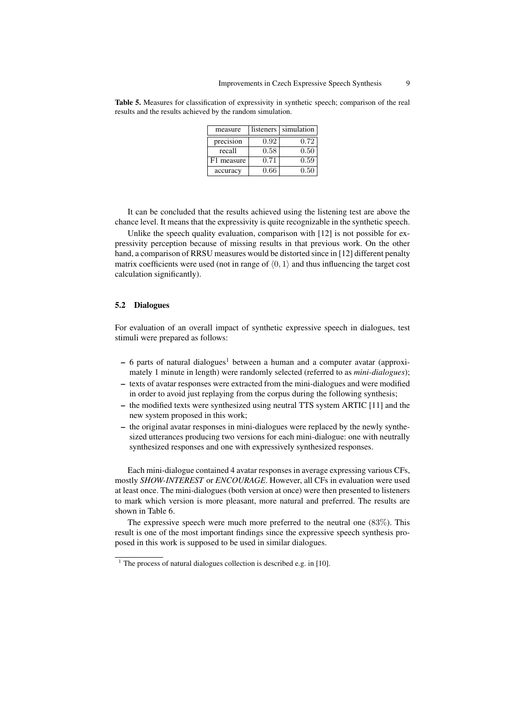|                                                            |  |  |  | Table 5. Measures for classification of expressivity in synthetic speech; comparison of the real |  |
|------------------------------------------------------------|--|--|--|--------------------------------------------------------------------------------------------------|--|
| results and the results achieved by the random simulation. |  |  |  |                                                                                                  |  |

| measure    | listeners | simulation |
|------------|-----------|------------|
| precision  | 0.92      | 0.72       |
| recall     | 0.58      | 0.50       |
| F1 measure | 0.71      | 0.59       |
| accuracy   | 0.66      | 0.50       |

It can be concluded that the results achieved using the listening test are above the chance level. It means that the expressivity is quite recognizable in the synthetic speech.

Unlike the speech quality evaluation, comparison with [12] is not possible for expressivity perception because of missing results in that previous work. On the other hand, a comparison of RRSU measures would be distorted since in [12] different penalty matrix coefficients were used (not in range of  $(0, 1)$  and thus influencing the target cost calculation significantly).

#### 5.2 Dialogues

For evaluation of an overall impact of synthetic expressive speech in dialogues, test stimuli were prepared as follows:

- $-6$  parts of natural dialogues<sup>1</sup> between a human and a computer avatar (approximately 1 minute in length) were randomly selected (referred to as *mini-dialogues*);
- texts of avatar responses were extracted from the mini-dialogues and were modified in order to avoid just replaying from the corpus during the following synthesis;
- the modified texts were synthesized using neutral TTS system ARTIC [11] and the new system proposed in this work;
- the original avatar responses in mini-dialogues were replaced by the newly synthesized utterances producing two versions for each mini-dialogue: one with neutrally synthesized responses and one with expressively synthesized responses.

Each mini-dialogue contained 4 avatar responses in average expressing various CFs, mostly *SHOW-INTEREST* or *ENCOURAGE*. However, all CFs in evaluation were used at least once. The mini-dialogues (both version at once) were then presented to listeners to mark which version is more pleasant, more natural and preferred. The results are shown in Table 6.

The expressive speech were much more preferred to the neutral one  $(83\%)$ . This result is one of the most important findings since the expressive speech synthesis proposed in this work is supposed to be used in similar dialogues.

 $1$  The process of natural dialogues collection is described e.g. in [10].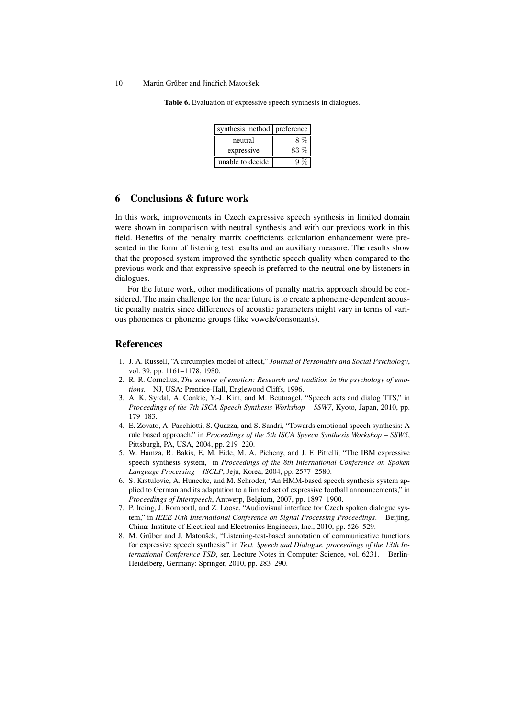Table 6. Evaluation of expressive speech synthesis in dialogues.

| synthesis method preference |      |
|-----------------------------|------|
| neutral                     | 8%   |
| expressive                  | 83 % |
| unable to decide            |      |

### 6 Conclusions & future work

In this work, improvements in Czech expressive speech synthesis in limited domain were shown in comparison with neutral synthesis and with our previous work in this field. Benefits of the penalty matrix coefficients calculation enhancement were presented in the form of listening test results and an auxiliary measure. The results show that the proposed system improved the synthetic speech quality when compared to the previous work and that expressive speech is preferred to the neutral one by listeners in dialogues.

For the future work, other modifications of penalty matrix approach should be considered. The main challenge for the near future is to create a phoneme-dependent acoustic penalty matrix since differences of acoustic parameters might vary in terms of various phonemes or phoneme groups (like vowels/consonants).

## References

- 1. J. A. Russell, "A circumplex model of affect," *Journal of Personality and Social Psychology*, vol. 39, pp. 1161–1178, 1980.
- 2. R. R. Cornelius, *The science of emotion: Research and tradition in the psychology of emotions*. NJ, USA: Prentice-Hall, Englewood Cliffs, 1996.
- 3. A. K. Syrdal, A. Conkie, Y.-J. Kim, and M. Beutnagel, "Speech acts and dialog TTS," in *Proceedings of the 7th ISCA Speech Synthesis Workshop – SSW7*, Kyoto, Japan, 2010, pp. 179–183.
- 4. E. Zovato, A. Pacchiotti, S. Quazza, and S. Sandri, "Towards emotional speech synthesis: A rule based approach," in *Proceedings of the 5th ISCA Speech Synthesis Workshop – SSW5*, Pittsburgh, PA, USA, 2004, pp. 219–220.
- 5. W. Hamza, R. Bakis, E. M. Eide, M. A. Picheny, and J. F. Pitrelli, "The IBM expressive speech synthesis system," in *Proceedings of the 8th International Conference on Spoken Language Processing – ISCLP*, Jeju, Korea, 2004, pp. 2577–2580.
- 6. S. Krstulovic, A. Hunecke, and M. Schroder, "An HMM-based speech synthesis system applied to German and its adaptation to a limited set of expressive football announcements," in *Proceedings of Interspeech*, Antwerp, Belgium, 2007, pp. 1897–1900.
- 7. P. Ircing, J. Romportl, and Z. Loose, "Audiovisual interface for Czech spoken dialogue system," in *IEEE 10th International Conference on Signal Processing Proceedings*. Beijing, China: Institute of Electrical and Electronics Engineers, Inc., 2010, pp. 526–529.
- 8. M. Grůber and J. Matoušek, "Listening-test-based annotation of communicative functions for expressive speech synthesis," in *Text, Speech and Dialogue, proceedings of the 13th International Conference TSD*, ser. Lecture Notes in Computer Science, vol. 6231. Berlin-Heidelberg, Germany: Springer, 2010, pp. 283–290.